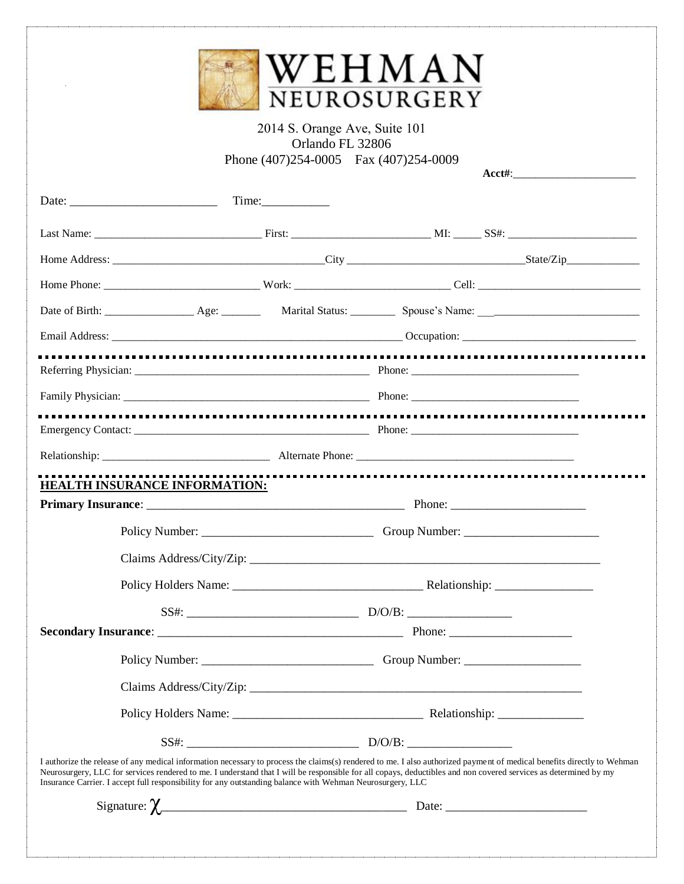| WEHMAN       |
|--------------|
| NEUROSURGERY |

## 2014 S. Orange Ave, Suite 101 Orlando FL 32806 Phone (407)254-0005 Fax (407)254-0009

**Acct#**:\_\_\_\_\_\_\_\_\_\_\_\_\_\_\_\_\_\_\_\_\_\_

| HEALTH INSURANCE INFORMATION:                                                                                                                                                                                                                                                                                                                                                                                                                          |                          |  |
|--------------------------------------------------------------------------------------------------------------------------------------------------------------------------------------------------------------------------------------------------------------------------------------------------------------------------------------------------------------------------------------------------------------------------------------------------------|--------------------------|--|
|                                                                                                                                                                                                                                                                                                                                                                                                                                                        |                          |  |
|                                                                                                                                                                                                                                                                                                                                                                                                                                                        |                          |  |
|                                                                                                                                                                                                                                                                                                                                                                                                                                                        |                          |  |
|                                                                                                                                                                                                                                                                                                                                                                                                                                                        |                          |  |
|                                                                                                                                                                                                                                                                                                                                                                                                                                                        | $SS#:$ $D/O/B:$ $D/O/B:$ |  |
|                                                                                                                                                                                                                                                                                                                                                                                                                                                        |                          |  |
|                                                                                                                                                                                                                                                                                                                                                                                                                                                        |                          |  |
| Claims Address/City/Zip:                                                                                                                                                                                                                                                                                                                                                                                                                               |                          |  |
|                                                                                                                                                                                                                                                                                                                                                                                                                                                        |                          |  |
|                                                                                                                                                                                                                                                                                                                                                                                                                                                        | $SS#:$ $D/O/B:$ $D/O/B:$ |  |
| I authorize the release of any medical information necessary to process the claims(s) rendered to me. I also authorized payment of medical benefits directly to Wehman<br>Neurosurgery, LLC for services rendered to me. I understand that I will be responsible for all copays, deductibles and non covered services as determined by my<br>Insurance Carrier. I accept full responsibility for any outstanding balance with Wehman Neurosurgery, LLC |                          |  |
|                                                                                                                                                                                                                                                                                                                                                                                                                                                        |                          |  |
|                                                                                                                                                                                                                                                                                                                                                                                                                                                        |                          |  |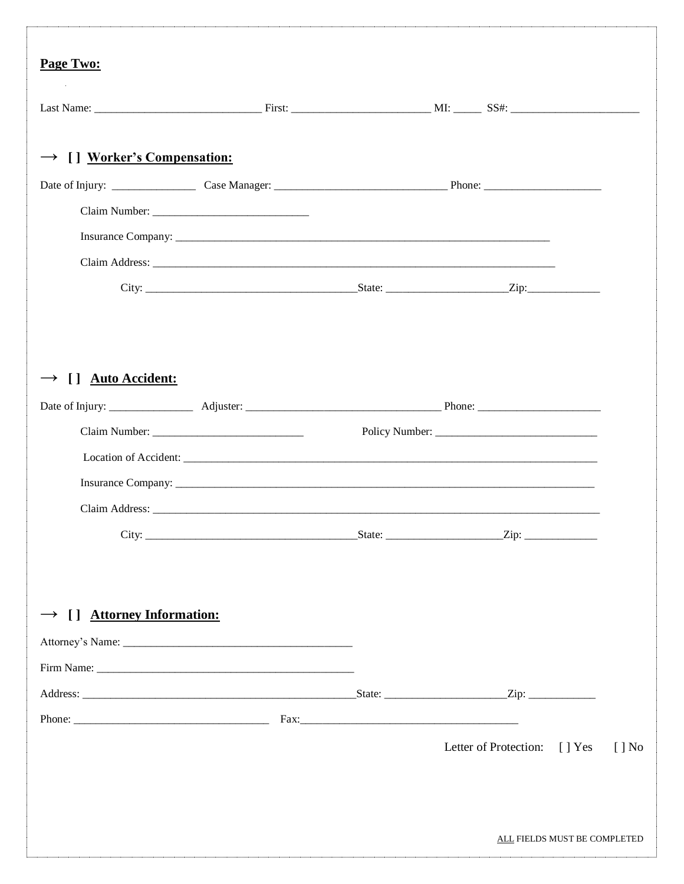| Page Two:                               |  |                                                                                                                                                                                                                                |  |
|-----------------------------------------|--|--------------------------------------------------------------------------------------------------------------------------------------------------------------------------------------------------------------------------------|--|
|                                         |  |                                                                                                                                                                                                                                |  |
| $\rightarrow$ [] Worker's Compensation: |  |                                                                                                                                                                                                                                |  |
|                                         |  |                                                                                                                                                                                                                                |  |
|                                         |  |                                                                                                                                                                                                                                |  |
|                                         |  |                                                                                                                                                                                                                                |  |
|                                         |  |                                                                                                                                                                                                                                |  |
|                                         |  |                                                                                                                                                                                                                                |  |
|                                         |  |                                                                                                                                                                                                                                |  |
| $\rightarrow$ [] Auto Accident:         |  |                                                                                                                                                                                                                                |  |
|                                         |  |                                                                                                                                                                                                                                |  |
|                                         |  |                                                                                                                                                                                                                                |  |
|                                         |  |                                                                                                                                                                                                                                |  |
|                                         |  | Insurance Company: North Company and Company and Company and Company and Company and Company and Company and Company and Company and Company and Company and Company and Company and Company and Company and Company and Compa |  |
|                                         |  |                                                                                                                                                                                                                                |  |
|                                         |  |                                                                                                                                                                                                                                |  |
|                                         |  |                                                                                                                                                                                                                                |  |
|                                         |  |                                                                                                                                                                                                                                |  |
| $\rightarrow$ [] Attorney Information:  |  |                                                                                                                                                                                                                                |  |
|                                         |  |                                                                                                                                                                                                                                |  |
|                                         |  |                                                                                                                                                                                                                                |  |
|                                         |  |                                                                                                                                                                                                                                |  |
|                                         |  |                                                                                                                                                                                                                                |  |
|                                         |  | Letter of Protection: [] Yes [] No                                                                                                                                                                                             |  |
|                                         |  |                                                                                                                                                                                                                                |  |
|                                         |  | ALL FIELDS MUST BE COMPLETED                                                                                                                                                                                                   |  |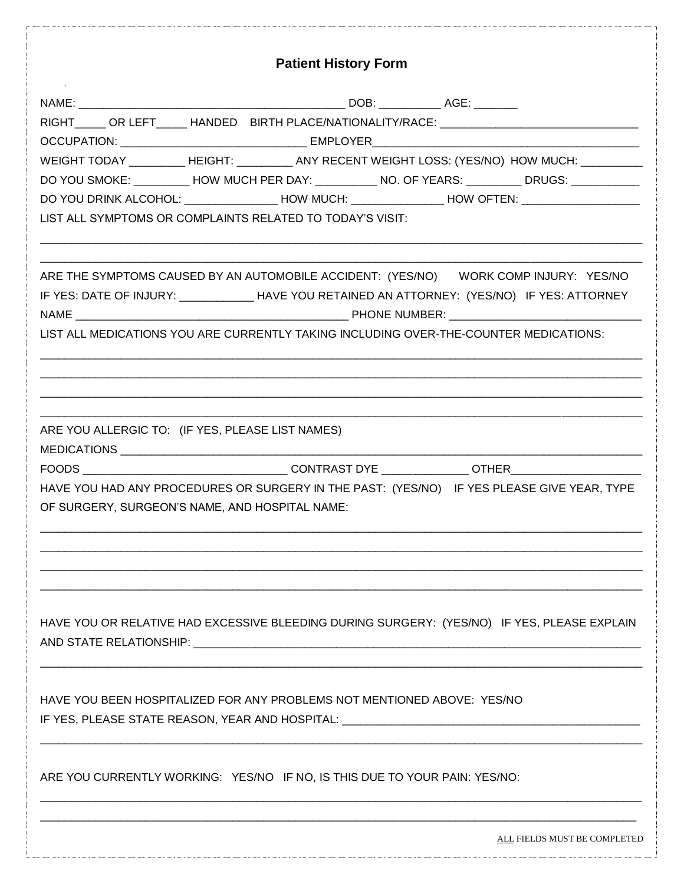| <b>Patient History Form</b>                                                                                                                                                                      |
|--------------------------------------------------------------------------------------------------------------------------------------------------------------------------------------------------|
|                                                                                                                                                                                                  |
|                                                                                                                                                                                                  |
|                                                                                                                                                                                                  |
| WEIGHT TODAY _________ HEIGHT: ________ ANY RECENT WEIGHT LOSS: (YES/NO) HOW MUCH: _________                                                                                                     |
| DO YOU SMOKE: _________ HOW MUCH PER DAY: _________ NO. OF YEARS: ________ DRUGS: __________                                                                                                     |
| DO YOU DRINK ALCOHOL: _______________HOW MUCH: ______________HOW OFTEN: ___________________________                                                                                              |
| LIST ALL SYMPTOMS OR COMPLAINTS RELATED TO TODAY'S VISIT:                                                                                                                                        |
| ARE THE SYMPTOMS CAUSED BY AN AUTOMOBILE ACCIDENT: (YES/NO) WORK COMP INJURY: YES/NO<br>IF YES: DATE OF INJURY: _______________HAVE YOU RETAINED AN ATTORNEY: (YES/NO) IF YES: ATTORNEY          |
| LIST ALL MEDICATIONS YOU ARE CURRENTLY TAKING INCLUDING OVER-THE-COUNTER MEDICATIONS:                                                                                                            |
| ARE YOU ALLERGIC TO: (IF YES, PLEASE LIST NAMES)<br>HAVE YOU HAD ANY PROCEDURES OR SURGERY IN THE PAST: (YES/NO) IF YES PLEASE GIVE YEAR, TYPE<br>OF SURGERY, SURGEON'S NAME, AND HOSPITAL NAME: |
| HAVE YOU OR RELATIVE HAD EXCESSIVE BLEEDING DURING SURGERY: (YES/NO) IF YES, PLEASE EXPLAIN                                                                                                      |
| HAVE YOU BEEN HOSPITALIZED FOR ANY PROBLEMS NOT MENTIONED ABOVE: YES/NO<br>IF YES, PLEASE STATE REASON, YEAR AND HOSPITAL: _________________________________                                     |
| ARE YOU CURRENTLY WORKING: YES/NO IF NO, IS THIS DUE TO YOUR PAIN: YES/NO:                                                                                                                       |
| ALL FIELDS MUST BE COMPLETED                                                                                                                                                                     |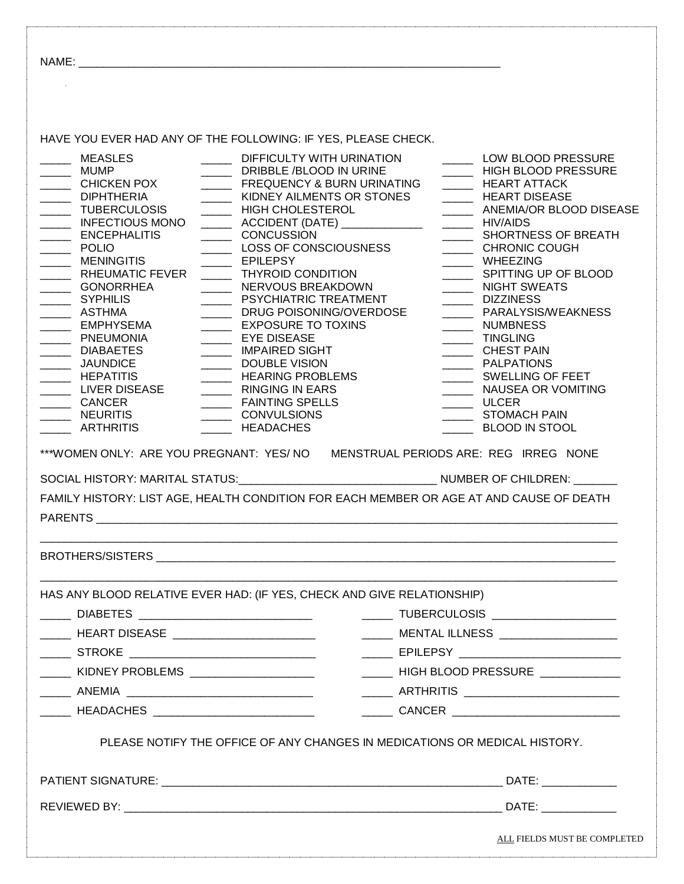|                                                                                                                                                                                                                                                                                                                                                                                                                                                                                                                                                                                        | HAVE YOU EVER HAD ANY OF THE FOLLOWING: IF YES, PLEASE CHECK.                                                                                                                                                                                                                                                                                                                                                                                                                                                                                                            |                                                                                                                                                                                                                                                                                                                                                                                                                                                                                                  |
|----------------------------------------------------------------------------------------------------------------------------------------------------------------------------------------------------------------------------------------------------------------------------------------------------------------------------------------------------------------------------------------------------------------------------------------------------------------------------------------------------------------------------------------------------------------------------------------|--------------------------------------------------------------------------------------------------------------------------------------------------------------------------------------------------------------------------------------------------------------------------------------------------------------------------------------------------------------------------------------------------------------------------------------------------------------------------------------------------------------------------------------------------------------------------|--------------------------------------------------------------------------------------------------------------------------------------------------------------------------------------------------------------------------------------------------------------------------------------------------------------------------------------------------------------------------------------------------------------------------------------------------------------------------------------------------|
| <b>MEASLES</b><br>____ MUMP<br>CHICKEN POX<br>DIPHTHERIA<br>_____ TUBERCULOSIS<br>INFECTIOUS MONO<br><b>ENCEPHALITIS</b><br>$\overline{\phantom{a}}$<br>POLIO<br><b>MENINGITIS</b><br>$\overline{\phantom{a}}$<br>RHEUMATIC FEVER<br>$\mathcal{L}(\mathcal{L})$<br><b>GONORRHEA</b><br>$\overline{\phantom{a}}$<br>SYPHILIS<br>_____ ASTHMA<br>____ EMPHYSEMA<br>PNEUMONIA<br><b>DIABAETES</b><br>______ JAUNDICE<br><b>HEPATITIS</b><br>LIVER DISEASE<br>CANCER<br><b>NEURITIS</b><br><b>ARTHRITIS</b><br>***WOMEN ONLY: ARE YOU PREGNANT: YES/ NO<br>SOCIAL HISTORY: MARITAL STATUS: | DIFFICULTY WITH URINATION<br>DRIBBLE /BLOOD IN URINE<br>FREQUENCY & BURN URINATING<br><b>KIDNEY AILMENTS OR STONES</b><br>HIGH CHOLESTEROL<br>CONCUSSION<br>LOSS OF CONSCIOUSNESS<br><b>EPILEPSY</b><br><b>THYROID CONDITION</b><br>NERVOUS BREAKDOWN<br>PSYCHIATRIC TREATMENT<br>DRUG POISONING/OVERDOSE<br>EXPOSURE TO TOXINS<br>EYE DISEASE<br>MPAIRED SIGHT<br>DOUBLE VISION<br>HEARING PROBLEMS<br>RINGING IN EARS<br>FAINTING SPELLS<br>CONVULSIONS<br><b>HEADACHES</b><br>FAMILY HISTORY: LIST AGE, HEALTH CONDITION FOR EACH MEMBER OR AGE AT AND CAUSE OF DEATH | LOW BLOOD PRESSURE<br>HIGH BLOOD PRESSURE<br>HEART ATTACK<br>________ HEART DISEASE<br>________ ANEMIA/OR BLOOD DISEASE<br>SHORTNESS OF BREATH<br>CHRONIC COUGH<br>______ WHEEZING<br>SPITTING UP OF BLOOD<br>NIGHT SWEATS<br>DIZZINESS<br>PARALYSIS/WEAKNESS<br>NUMBNESS<br>TINGLING<br>_______ CHEST PAIN<br>________ SWELLING OF FEET<br>NAUSEA OR VOMITING<br>$\frac{1}{\sqrt{1-\frac{1}{2}}}\text{ULCER}$<br>STOMACH PAIN<br><b>BLOOD IN STOOL</b><br>MENSTRUAL PERIODS ARE: REG IRREG NONE |
| <b>PARENTS</b>                                                                                                                                                                                                                                                                                                                                                                                                                                                                                                                                                                         |                                                                                                                                                                                                                                                                                                                                                                                                                                                                                                                                                                          |                                                                                                                                                                                                                                                                                                                                                                                                                                                                                                  |
|                                                                                                                                                                                                                                                                                                                                                                                                                                                                                                                                                                                        |                                                                                                                                                                                                                                                                                                                                                                                                                                                                                                                                                                          |                                                                                                                                                                                                                                                                                                                                                                                                                                                                                                  |
|                                                                                                                                                                                                                                                                                                                                                                                                                                                                                                                                                                                        |                                                                                                                                                                                                                                                                                                                                                                                                                                                                                                                                                                          |                                                                                                                                                                                                                                                                                                                                                                                                                                                                                                  |
| ______ DIABETES _______________________________                                                                                                                                                                                                                                                                                                                                                                                                                                                                                                                                        | HAS ANY BLOOD RELATIVE EVER HAD: (IF YES, CHECK AND GIVE RELATIONSHIP)                                                                                                                                                                                                                                                                                                                                                                                                                                                                                                   | ______ TUBERCULOSIS ____________________                                                                                                                                                                                                                                                                                                                                                                                                                                                         |
| ______ HEART DISEASE _________________________                                                                                                                                                                                                                                                                                                                                                                                                                                                                                                                                         |                                                                                                                                                                                                                                                                                                                                                                                                                                                                                                                                                                          | ______ MENTAL ILLNESS ___________________                                                                                                                                                                                                                                                                                                                                                                                                                                                        |
| ______ STROKE ___________________________________                                                                                                                                                                                                                                                                                                                                                                                                                                                                                                                                      |                                                                                                                                                                                                                                                                                                                                                                                                                                                                                                                                                                          |                                                                                                                                                                                                                                                                                                                                                                                                                                                                                                  |
|                                                                                                                                                                                                                                                                                                                                                                                                                                                                                                                                                                                        |                                                                                                                                                                                                                                                                                                                                                                                                                                                                                                                                                                          | HIGH BLOOD PRESSURE ___________                                                                                                                                                                                                                                                                                                                                                                                                                                                                  |
|                                                                                                                                                                                                                                                                                                                                                                                                                                                                                                                                                                                        |                                                                                                                                                                                                                                                                                                                                                                                                                                                                                                                                                                          | ______ ARTHRITIS __________________________                                                                                                                                                                                                                                                                                                                                                                                                                                                      |
|                                                                                                                                                                                                                                                                                                                                                                                                                                                                                                                                                                                        |                                                                                                                                                                                                                                                                                                                                                                                                                                                                                                                                                                          | CANCER ______________________________                                                                                                                                                                                                                                                                                                                                                                                                                                                            |
|                                                                                                                                                                                                                                                                                                                                                                                                                                                                                                                                                                                        | PLEASE NOTIFY THE OFFICE OF ANY CHANGES IN MEDICATIONS OR MEDICAL HISTORY.                                                                                                                                                                                                                                                                                                                                                                                                                                                                                               |                                                                                                                                                                                                                                                                                                                                                                                                                                                                                                  |
|                                                                                                                                                                                                                                                                                                                                                                                                                                                                                                                                                                                        |                                                                                                                                                                                                                                                                                                                                                                                                                                                                                                                                                                          | DATE: ______________                                                                                                                                                                                                                                                                                                                                                                                                                                                                             |
|                                                                                                                                                                                                                                                                                                                                                                                                                                                                                                                                                                                        |                                                                                                                                                                                                                                                                                                                                                                                                                                                                                                                                                                          | DATE: and the state of the state of the state of the state of the state of the state of the state of the state of the state of the state of the state of the state of the state of the state of the state of the state of the                                                                                                                                                                                                                                                                    |
|                                                                                                                                                                                                                                                                                                                                                                                                                                                                                                                                                                                        |                                                                                                                                                                                                                                                                                                                                                                                                                                                                                                                                                                          | ALL FIELDS MUST BE COMPLETED                                                                                                                                                                                                                                                                                                                                                                                                                                                                     |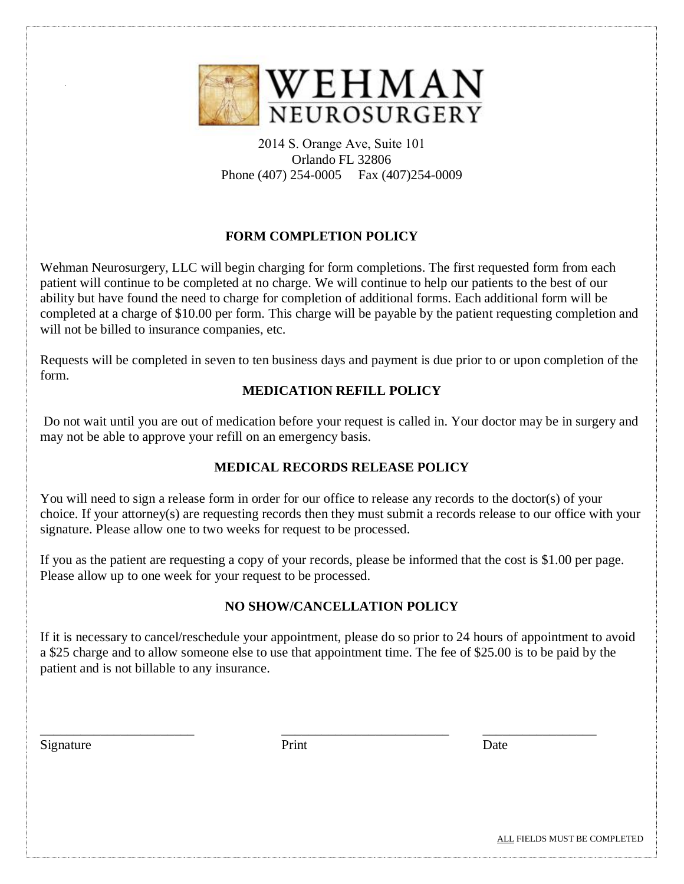

2014 S. Orange Ave, Suite 101 Orlando FL 32806 Phone (407) 254-0005 Fax (407)254-0009

# **FORM COMPLETION POLICY**

Wehman Neurosurgery, LLC will begin charging for form completions. The first requested form from each patient will continue to be completed at no charge. We will continue to help our patients to the best of our ability but have found the need to charge for completion of additional forms. Each additional form will be completed at a charge of \$10.00 per form. This charge will be payable by the patient requesting completion and will not be billed to insurance companies, etc.

Requests will be completed in seven to ten business days and payment is due prior to or upon completion of the form.

## **MEDICATION REFILL POLICY**

Do not wait until you are out of medication before your request is called in. Your doctor may be in surgery and may not be able to approve your refill on an emergency basis.

# **MEDICAL RECORDS RELEASE POLICY**

You will need to sign a release form in order for our office to release any records to the doctor(s) of your choice. If your attorney(s) are requesting records then they must submit a records release to our office with your signature. Please allow one to two weeks for request to be processed.

If you as the patient are requesting a copy of your records, please be informed that the cost is \$1.00 per page. Please allow up to one week for your request to be processed.

## **NO SHOW/CANCELLATION POLICY**

If it is necessary to cancel/reschedule your appointment, please do so prior to 24 hours of appointment to avoid a \$25 charge and to allow someone else to use that appointment time. The fee of \$25.00 is to be paid by the patient and is not billable to any insurance.

Signature Date **Date** 

\_\_\_\_\_\_\_\_\_\_\_\_\_\_\_\_\_\_\_\_\_\_\_ \_\_\_\_\_\_\_\_\_\_\_\_\_\_\_\_\_\_\_\_\_\_\_\_\_ \_\_\_\_\_\_\_\_\_\_\_\_\_\_\_\_\_

ALL FIELDS MUST BE COMPLETED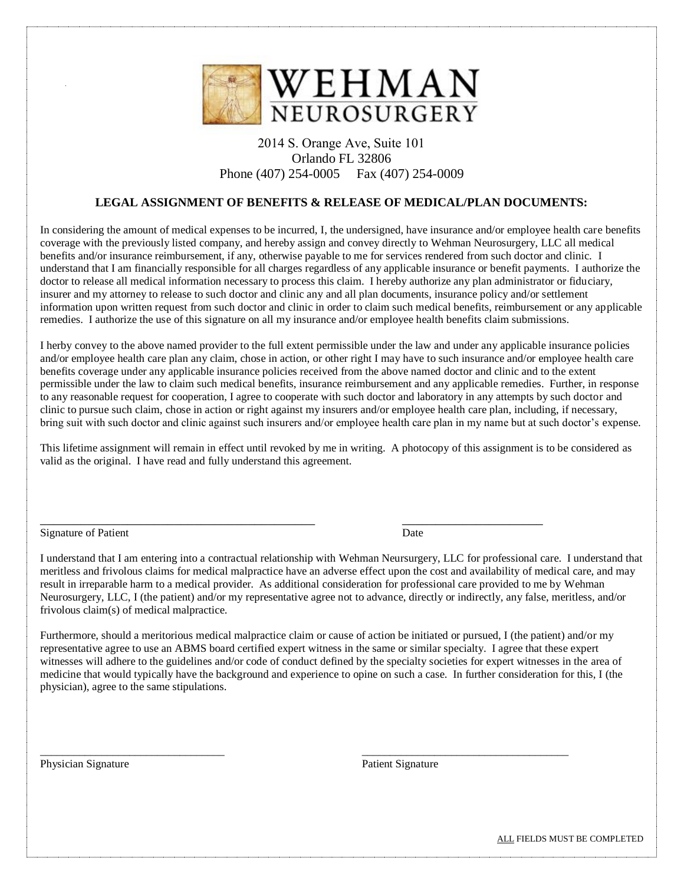

#### 2014 S. Orange Ave, Suite 101 Orlando FL 32806 Phone (407) 254-0005 Fax (407) 254-0009

#### **LEGAL ASSIGNMENT OF BENEFITS & RELEASE OF MEDICAL/PLAN DOCUMENTS:**

In considering the amount of medical expenses to be incurred, I, the undersigned, have insurance and/or employee health care benefits coverage with the previously listed company, and hereby assign and convey directly to Wehman Neurosurgery, LLC all medical benefits and/or insurance reimbursement, if any, otherwise payable to me for services rendered from such doctor and clinic. I understand that I am financially responsible for all charges regardless of any applicable insurance or benefit payments. I authorize the doctor to release all medical information necessary to process this claim. I hereby authorize any plan administrator or fiduciary, insurer and my attorney to release to such doctor and clinic any and all plan documents, insurance policy and/or settlement information upon written request from such doctor and clinic in order to claim such medical benefits, reimbursement or any applicable remedies. I authorize the use of this signature on all my insurance and/or employee health benefits claim submissions.

I herby convey to the above named provider to the full extent permissible under the law and under any applicable insurance policies and/or employee health care plan any claim, chose in action, or other right I may have to such insurance and/or employee health care benefits coverage under any applicable insurance policies received from the above named doctor and clinic and to the extent permissible under the law to claim such medical benefits, insurance reimbursement and any applicable remedies. Further, in response to any reasonable request for cooperation, I agree to cooperate with such doctor and laboratory in any attempts by such doctor and clinic to pursue such claim, chose in action or right against my insurers and/or employee health care plan, including, if necessary, bring suit with such doctor and clinic against such insurers and/or employee health care plan in my name but at such doctor's expense.

This lifetime assignment will remain in effect until revoked by me in writing. A photocopy of this assignment is to be considered as valid as the original. I have read and fully understand this agreement.

\_\_\_\_\_\_\_\_\_\_\_\_\_\_\_\_\_\_\_\_\_\_\_\_\_\_\_\_\_\_\_\_\_\_\_\_\_\_\_\_\_ \_\_\_\_\_\_\_\_\_\_\_\_\_\_\_\_\_\_\_\_\_

Signature of Patient Date

I understand that I am entering into a contractual relationship with Wehman Neursurgery, LLC for professional care. I understand that meritless and frivolous claims for medical malpractice have an adverse effect upon the cost and availability of medical care, and may result in irreparable harm to a medical provider. As additional consideration for professional care provided to me by Wehman Neurosurgery, LLC, I (the patient) and/or my representative agree not to advance, directly or indirectly, any false, meritless, and/or frivolous claim(s) of medical malpractice.

Furthermore, should a meritorious medical malpractice claim or cause of action be initiated or pursued, I (the patient) and/or my representative agree to use an ABMS board certified expert witness in the same or similar specialty. I agree that these expert witnesses will adhere to the guidelines and/or code of conduct defined by the specialty societies for expert witnesses in the area of medicine that would typically have the background and experience to opine on such a case. In further consideration for this, I (the physician), agree to the same stipulations.

\_\_\_\_\_\_\_\_\_\_\_\_\_\_\_\_\_\_\_\_\_\_\_\_\_\_\_\_\_\_\_\_\_ \_\_\_\_\_\_\_\_\_\_\_\_\_\_\_\_\_\_\_\_\_\_\_\_\_\_\_\_\_\_\_\_\_\_\_\_\_

Physician Signature **Patient Signature** Patient Signature **Patient Signature**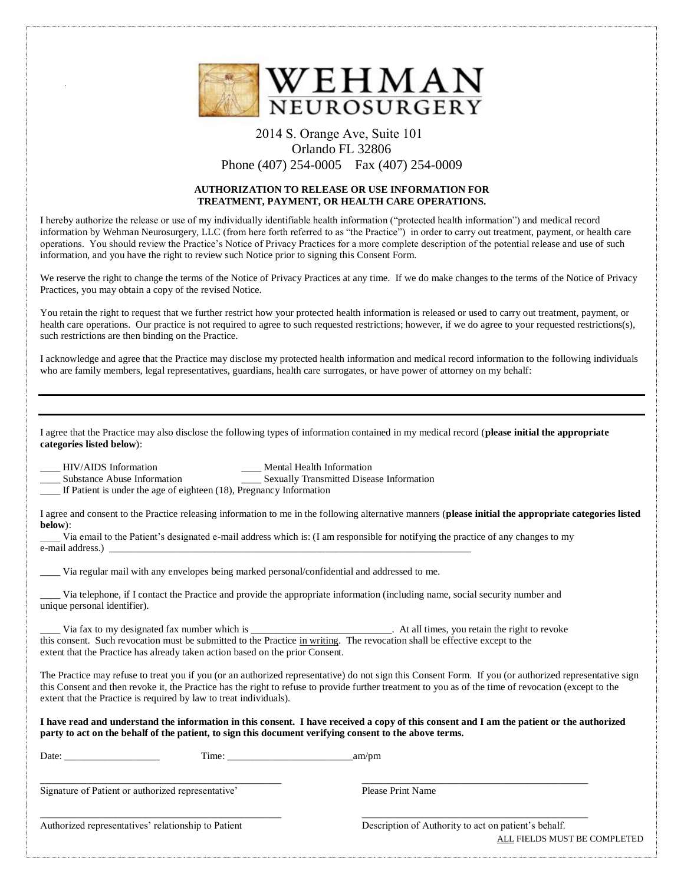

#### 2014 S. Orange Ave, Suite 101 Orlando FL 32806 Phone (407) 254-0005 Fax (407) 254-0009

#### **AUTHORIZATION TO RELEASE OR USE INFORMATION FOR TREATMENT, PAYMENT, OR HEALTH CARE OPERATIONS.**

I hereby authorize the release or use of my individually identifiable health information ("protected health information") and medical record information by Wehman Neurosurgery, LLC (from here forth referred to as "the Practice") in order to carry out treatment, payment, or health care operations. You should review the Practice's Notice of Privacy Practices for a more complete description of the potential release and use of such information, and you have the right to review such Notice prior to signing this Consent Form.

We reserve the right to change the terms of the Notice of Privacy Practices at any time. If we do make changes to the terms of the Notice of Privacy Practices, you may obtain a copy of the revised Notice.

You retain the right to request that we further restrict how your protected health information is released or used to carry out treatment, payment, or health care operations. Our practice is not required to agree to such requested restrictions; however, if we do agree to your requested restrictions(s), such restrictions are then binding on the Practice.

I acknowledge and agree that the Practice may disclose my protected health information and medical record information to the following individuals who are family members, legal representatives, guardians, health care surrogates, or have power of attorney on my behalf:

I agree that the Practice may also disclose the following types of information contained in my medical record (**please initial the appropriate categories listed below**):

Letter HIV/AIDS Information and the Mental Health Information and Sexually Transmitted Disearch Sexually Transmitted Disearch and Sexually Transmitted Disearch and Sexually Transmitted Disearch and Sexually Transmitted Dis \_\_\_ Sexually Transmitted Disease Information

\_\_\_\_ If Patient is under the age of eighteen (18), Pregnancy Information

I agree and consent to the Practice releasing information to me in the following alternative manners (**please initial the appropriate categories listed below**):

\_\_\_\_ Via email to the Patient's designated e-mail address which is: (I am responsible for notifying the practice of any changes to my e-mail address.)

Via regular mail with any envelopes being marked personal/confidential and addressed to me.

Via telephone, if I contact the Practice and provide the appropriate information (including name, social security number and unique personal identifier).

Via fax to my designated fax number which is \_\_\_\_\_\_\_\_\_\_\_\_\_\_\_\_\_\_\_\_\_\_\_\_\_\_\_\_. At all times, you retain the right to revoke this consent. Such revocation must be submitted to the Practice in writing. The revocation shall be effective except to the extent that the Practice has already taken action based on the prior Consent.

The Practice may refuse to treat you if you (or an authorized representative) do not sign this Consent Form. If you (or authorized representative sign this Consent and then revoke it, the Practice has the right to refuse to provide further treatment to you as of the time of revocation (except to the extent that the Practice is required by law to treat individuals).

**I have read and understand the information in this consent. I have received a copy of this consent and I am the patient or the authorized party to act on the behalf of the patient, to sign this document verifying consent to the above terms.**

| Date:<br>Time:                                      | am/pm                                                                                |
|-----------------------------------------------------|--------------------------------------------------------------------------------------|
| Signature of Patient or authorized representative'  | Please Print Name                                                                    |
| Authorized representatives' relationship to Patient | Description of Authority to act on patient's behalf.<br>ALL FIELDS MUST BE COMPLETED |